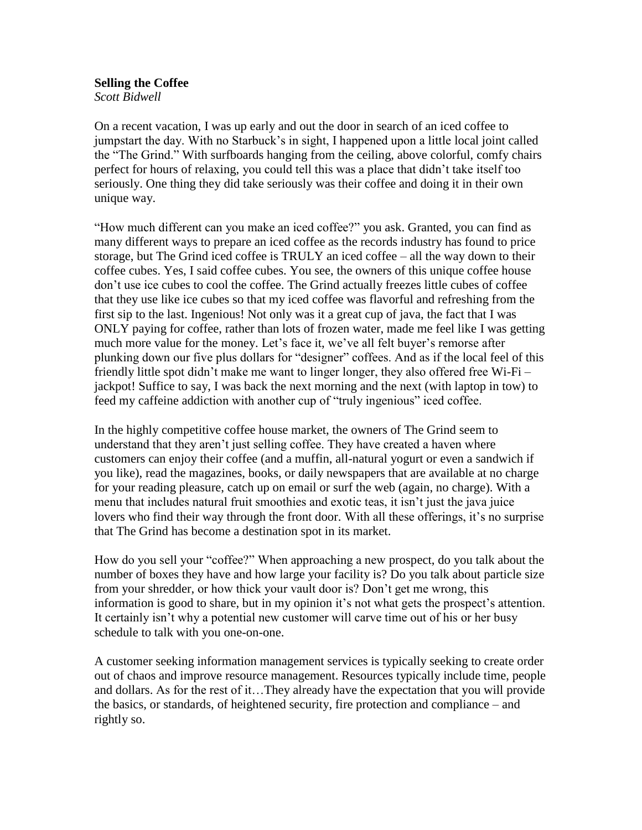**Selling the Coffee** *Scott Bidwell*

On a recent vacation, I was up early and out the door in search of an iced coffee to jumpstart the day. With no Starbuck's in sight, I happened upon a little local joint called the "The Grind." With surfboards hanging from the ceiling, above colorful, comfy chairs perfect for hours of relaxing, you could tell this was a place that didn't take itself too seriously. One thing they did take seriously was their coffee and doing it in their own unique way.

"How much different can you make an iced coffee?" you ask. Granted, you can find as many different ways to prepare an iced coffee as the records industry has found to price storage, but The Grind iced coffee is TRULY an iced coffee – all the way down to their coffee cubes. Yes, I said coffee cubes. You see, the owners of this unique coffee house don't use ice cubes to cool the coffee. The Grind actually freezes little cubes of coffee that they use like ice cubes so that my iced coffee was flavorful and refreshing from the first sip to the last. Ingenious! Not only was it a great cup of java, the fact that I was ONLY paying for coffee, rather than lots of frozen water, made me feel like I was getting much more value for the money. Let's face it, we've all felt buyer's remorse after plunking down our five plus dollars for "designer" coffees. And as if the local feel of this friendly little spot didn't make me want to linger longer, they also offered free Wi-Fi – jackpot! Suffice to say, I was back the next morning and the next (with laptop in tow) to feed my caffeine addiction with another cup of "truly ingenious" iced coffee.

In the highly competitive coffee house market, the owners of The Grind seem to understand that they aren't just selling coffee. They have created a haven where customers can enjoy their coffee (and a muffin, all-natural yogurt or even a sandwich if you like), read the magazines, books, or daily newspapers that are available at no charge for your reading pleasure, catch up on email or surf the web (again, no charge). With a menu that includes natural fruit smoothies and exotic teas, it isn't just the java juice lovers who find their way through the front door. With all these offerings, it's no surprise that The Grind has become a destination spot in its market.

How do you sell your "coffee?" When approaching a new prospect, do you talk about the number of boxes they have and how large your facility is? Do you talk about particle size from your shredder, or how thick your vault door is? Don't get me wrong, this information is good to share, but in my opinion it's not what gets the prospect's attention. It certainly isn't why a potential new customer will carve time out of his or her busy schedule to talk with you one-on-one.

A customer seeking information management services is typically seeking to create order out of chaos and improve resource management. Resources typically include time, people and dollars. As for the rest of it…They already have the expectation that you will provide the basics, or standards, of heightened security, fire protection and compliance – and rightly so.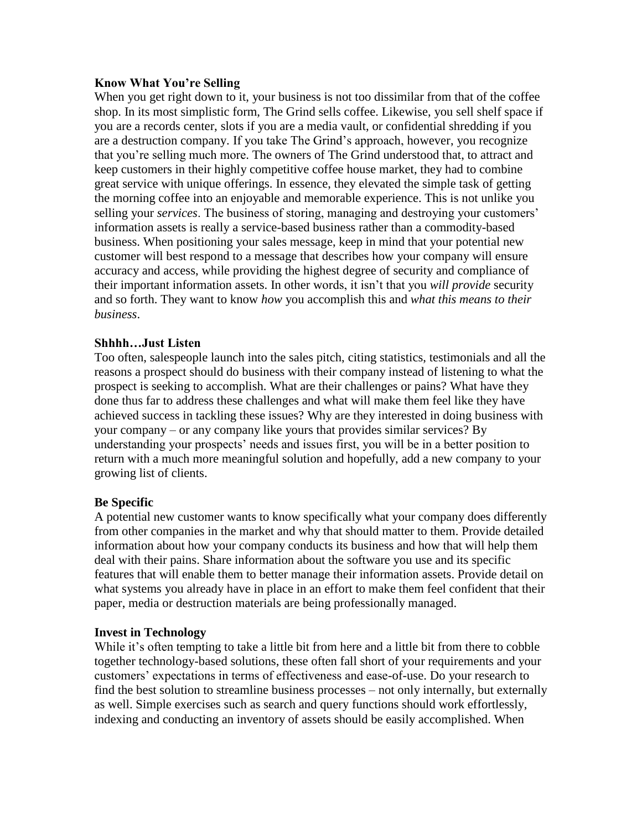## **Know What You're Selling**

When you get right down to it, your business is not too dissimilar from that of the coffee shop. In its most simplistic form, The Grind sells coffee. Likewise, you sell shelf space if you are a records center, slots if you are a media vault, or confidential shredding if you are a destruction company. If you take The Grind's approach, however, you recognize that you're selling much more. The owners of The Grind understood that, to attract and keep customers in their highly competitive coffee house market, they had to combine great service with unique offerings. In essence, they elevated the simple task of getting the morning coffee into an enjoyable and memorable experience. This is not unlike you selling your *services*. The business of storing, managing and destroying your customers' information assets is really a service-based business rather than a commodity-based business. When positioning your sales message, keep in mind that your potential new customer will best respond to a message that describes how your company will ensure accuracy and access, while providing the highest degree of security and compliance of their important information assets. In other words, it isn't that you *will provide* security and so forth. They want to know *how* you accomplish this and *what this means to their business*.

## **Shhhh…Just Listen**

Too often, salespeople launch into the sales pitch, citing statistics, testimonials and all the reasons a prospect should do business with their company instead of listening to what the prospect is seeking to accomplish. What are their challenges or pains? What have they done thus far to address these challenges and what will make them feel like they have achieved success in tackling these issues? Why are they interested in doing business with your company – or any company like yours that provides similar services? By understanding your prospects' needs and issues first, you will be in a better position to return with a much more meaningful solution and hopefully, add a new company to your growing list of clients.

## **Be Specific**

A potential new customer wants to know specifically what your company does differently from other companies in the market and why that should matter to them. Provide detailed information about how your company conducts its business and how that will help them deal with their pains. Share information about the software you use and its specific features that will enable them to better manage their information assets. Provide detail on what systems you already have in place in an effort to make them feel confident that their paper, media or destruction materials are being professionally managed.

## **Invest in Technology**

While it's often tempting to take a little bit from here and a little bit from there to cobble together technology-based solutions, these often fall short of your requirements and your customers' expectations in terms of effectiveness and ease-of-use. Do your research to find the best solution to streamline business processes – not only internally, but externally as well. Simple exercises such as search and query functions should work effortlessly, indexing and conducting an inventory of assets should be easily accomplished. When